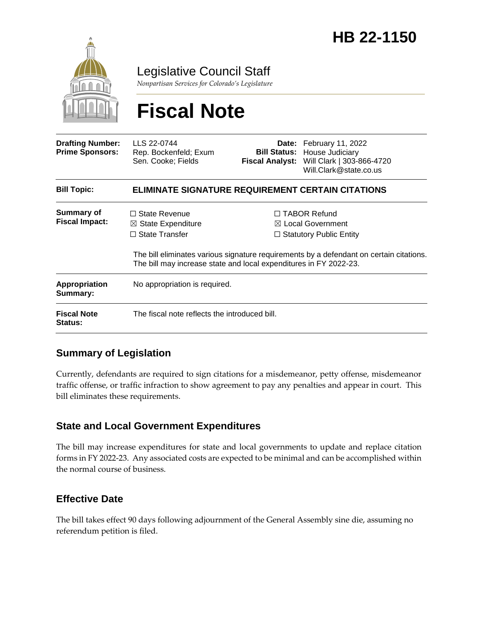

Legislative Council Staff

*Nonpartisan Services for Colorado's Legislature*

# **Fiscal Note**

| <b>Drafting Number:</b><br><b>Prime Sponsors:</b> | LLS 22-0744<br>Rep. Bockenfeld; Exum<br>Sen. Cooke; Fields                                                                                          | Fiscal Analyst: | Date: February 11, 2022<br><b>Bill Status: House Judiciary</b><br>Will Clark   303-866-4720<br>Will.Clark@state.co.us                                                            |
|---------------------------------------------------|-----------------------------------------------------------------------------------------------------------------------------------------------------|-----------------|----------------------------------------------------------------------------------------------------------------------------------------------------------------------------------|
| <b>Bill Topic:</b>                                | <b>ELIMINATE SIGNATURE REQUIREMENT CERTAIN CITATIONS</b>                                                                                            |                 |                                                                                                                                                                                  |
| Summary of<br><b>Fiscal Impact:</b>               | $\Box$ State Revenue<br>$\boxtimes$ State Expenditure<br>$\Box$ State Transfer<br>The bill may increase state and local expenditures in FY 2022-23. |                 | $\Box$ TABOR Refund<br>$\boxtimes$ Local Government<br>$\Box$ Statutory Public Entity<br>The bill eliminates various signature requirements by a defendant on certain citations. |
| <b>Appropriation</b><br>Summary:                  | No appropriation is required.                                                                                                                       |                 |                                                                                                                                                                                  |
| <b>Fiscal Note</b><br><b>Status:</b>              | The fiscal note reflects the introduced bill.                                                                                                       |                 |                                                                                                                                                                                  |

### **Summary of Legislation**

Currently, defendants are required to sign citations for a misdemeanor, petty offense, misdemeanor traffic offense, or traffic infraction to show agreement to pay any penalties and appear in court. This bill eliminates these requirements.

### **State and Local Government Expenditures**

The bill may increase expenditures for state and local governments to update and replace citation forms in FY 2022-23. Any associated costs are expected to be minimal and can be accomplished within the normal course of business.

### **Effective Date**

The bill takes effect 90 days following adjournment of the General Assembly sine die, assuming no referendum petition is filed.